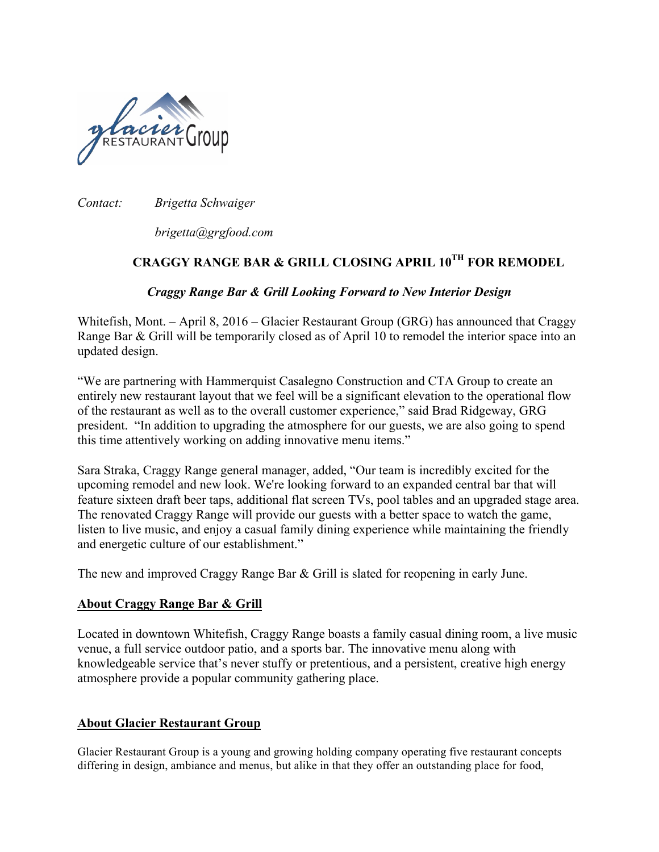

*Contact: Brigetta Schwaiger*

*brigetta@grgfood.com*

## **CRAGGY RANGE BAR & GRILL CLOSING APRIL 10TH FOR REMODEL**

## *Craggy Range Bar & Grill Looking Forward to New Interior Design*

Whitefish, Mont. – April 8, 2016 – Glacier Restaurant Group (GRG) has announced that Craggy Range Bar & Grill will be temporarily closed as of April 10 to remodel the interior space into an updated design.

"We are partnering with Hammerquist Casalegno Construction and CTA Group to create an entirely new restaurant layout that we feel will be a significant elevation to the operational flow of the restaurant as well as to the overall customer experience," said Brad Ridgeway, GRG president. "In addition to upgrading the atmosphere for our guests, we are also going to spend this time attentively working on adding innovative menu items."

Sara Straka, Craggy Range general manager, added, "Our team is incredibly excited for the upcoming remodel and new look. We're looking forward to an expanded central bar that will feature sixteen draft beer taps, additional flat screen TVs, pool tables and an upgraded stage area. The renovated Craggy Range will provide our guests with a better space to watch the game, listen to live music, and enjoy a casual family dining experience while maintaining the friendly and energetic culture of our establishment."

The new and improved Craggy Range Bar & Grill is slated for reopening in early June.

## **About Craggy Range Bar & Grill**

Located in downtown Whitefish, Craggy Range boasts a family casual dining room, a live music venue, a full service outdoor patio, and a sports bar. The innovative menu along with knowledgeable service that's never stuffy or pretentious, and a persistent, creative high energy atmosphere provide a popular community gathering place.

## **About Glacier Restaurant Group**

Glacier Restaurant Group is a young and growing holding company operating five restaurant concepts differing in design, ambiance and menus, but alike in that they offer an outstanding place for food,